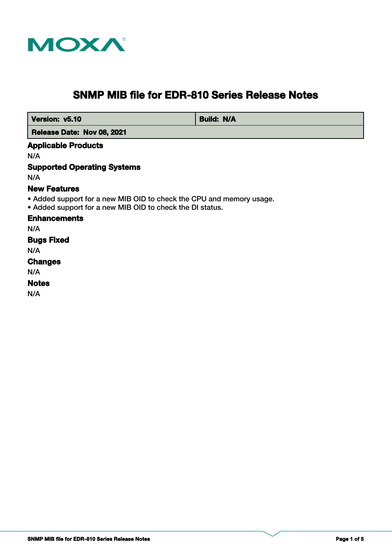

# **SNMP MIB file for EDR-810 Series Release Notes**

 **Version: v5.10 Build: N/A** 

 **Release Date: Nov 08, 2021**

# **Applicable Products**

N/A

# **Supported Operating Systems**

N/A

# **New Features**

• Added support for a new MIB OID to check the CPU and memory usage.

• Added support for a new MIB OID to check the DI status.

#### **Enhancements**

N/A

# **Bugs Fixed**

N/A

## **Changes**

N/A

## **Notes**

N/A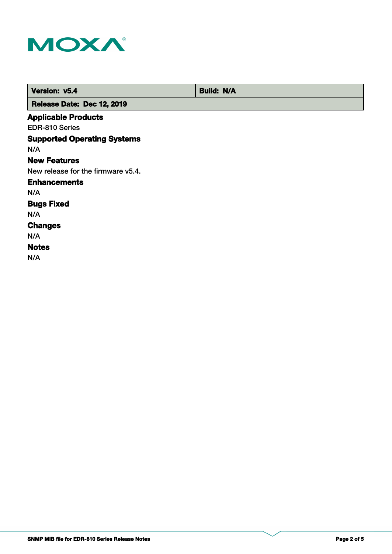

| Version: v5.4                      | <b>Build: N/A</b> |
|------------------------------------|-------------------|
| Release Date: Dec 12, 2019         |                   |
| <b>Applicable Products</b>         |                   |
| EDR-810 Series                     |                   |
| <b>Supported Operating Systems</b> |                   |
| N/A                                |                   |
| <b>New Features</b>                |                   |
| New release for the firmware v5.4. |                   |
| <b>Enhancements</b>                |                   |
| N/A                                |                   |
| <b>Bugs Fixed</b>                  |                   |
| N/A                                |                   |
| <b>Changes</b>                     |                   |
| N/A                                |                   |
| <b>Notes</b>                       |                   |
| N/A                                |                   |
|                                    |                   |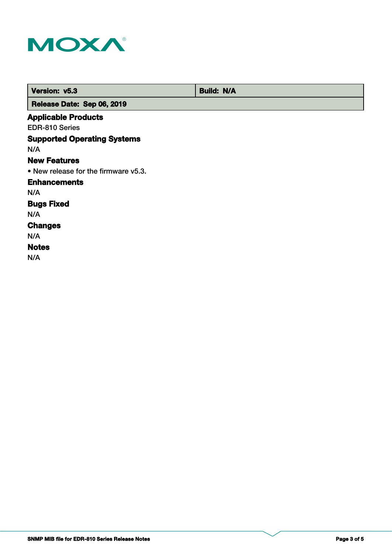

| Version: v5.3                        | <b>Build: N/A</b> |
|--------------------------------------|-------------------|
| Release Date: Sep 06, 2019           |                   |
| <b>Applicable Products</b>           |                   |
| EDR-810 Series                       |                   |
| <b>Supported Operating Systems</b>   |                   |
| N/A                                  |                   |
| <b>New Features</b>                  |                   |
| • New release for the firmware v5.3. |                   |
| <b>Enhancements</b>                  |                   |
| N/A                                  |                   |
| <b>Bugs Fixed</b>                    |                   |
| N/A                                  |                   |
| <b>Changes</b>                       |                   |
| N/A                                  |                   |
| <b>Notes</b>                         |                   |
| N/A                                  |                   |
|                                      |                   |
|                                      |                   |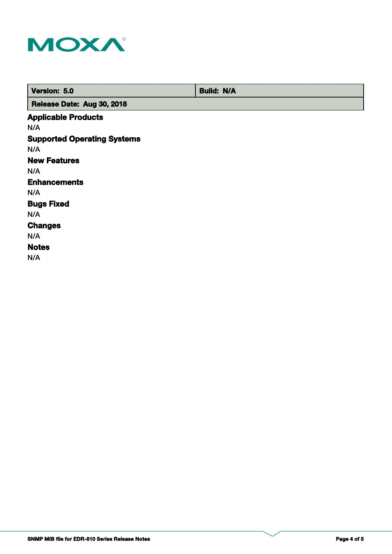

| Version: 5.0                       | <b>Build: N/A</b> |
|------------------------------------|-------------------|
| Release Date: Aug 30, 2018         |                   |
| <b>Applicable Products</b>         |                   |
| N/A                                |                   |
| <b>Supported Operating Systems</b> |                   |
| N/A                                |                   |
| <b>New Features</b>                |                   |
| N/A                                |                   |
| <b>Enhancements</b>                |                   |
| N/A                                |                   |
| <b>Bugs Fixed</b>                  |                   |
| N/A                                |                   |
| <b>Changes</b>                     |                   |
| N/A                                |                   |
| <b>Notes</b>                       |                   |
| N/A                                |                   |